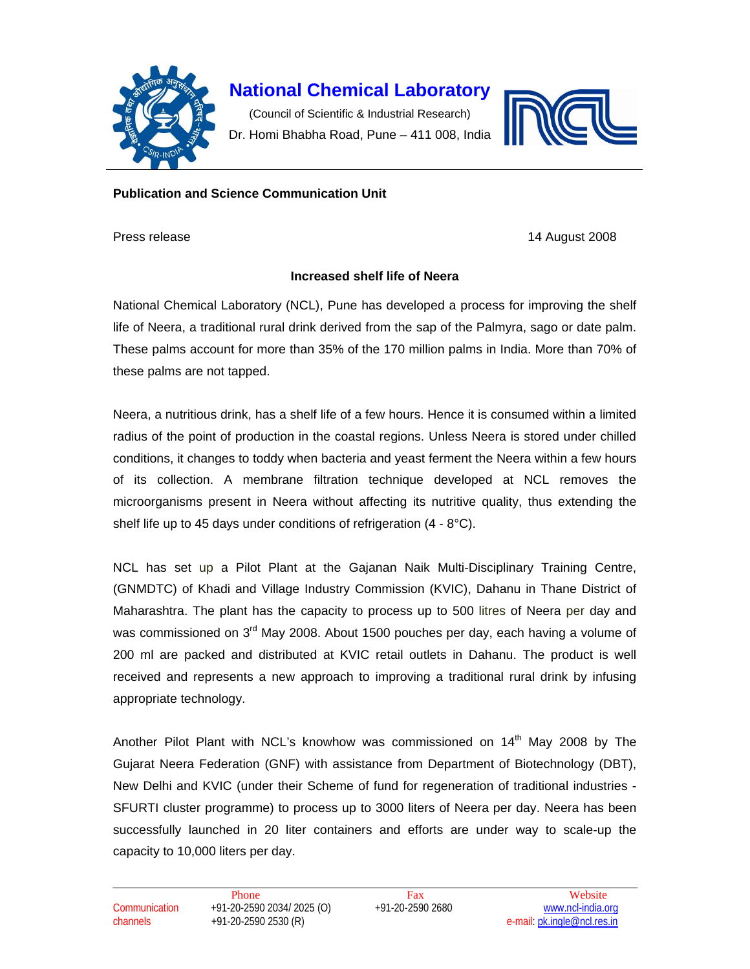

## **National Chemical Laboratory**

(Council of Scientific & Industrial Research) Dr. Homi Bhabha Road, Pune – 411 008, India



## **Publication and Science Communication Unit**

Press release 14 August 2008

## **Increased shelf life of Neera**

National Chemical Laboratory (NCL), Pune has developed a process for improving the shelf life of Neera, a traditional rural drink derived from the sap of the Palmyra, sago or date palm. These palms account for more than 35% of the 170 million palms in India. More than 70% of these palms are not tapped.

Neera, a nutritious drink, has a shelf life of a few hours. Hence it is consumed within a limited radius of the point of production in the coastal regions. Unless Neera is stored under chilled conditions, it changes to toddy when bacteria and yeast ferment the Neera within a few hours of its collection. A membrane filtration technique developed at NCL removes the microorganisms present in Neera without affecting its nutritive quality, thus extending the shelf life up to 45 days under conditions of refrigeration (4 - 8°C).

NCL has set up a Pilot Plant at the Gajanan Naik Multi-Disciplinary Training Centre, (GNMDTC) of Khadi and Village Industry Commission (KVIC), Dahanu in Thane District of Maharashtra. The plant has the capacity to process up to 500 litres of Neera per day and was commissioned on 3<sup>rd</sup> May 2008. About 1500 pouches per day, each having a volume of 200 ml are packed and distributed at KVIC retail outlets in Dahanu. The product is well received and represents a new approach to improving a traditional rural drink by infusing appropriate technology.

Another Pilot Plant with NCL's knowhow was commissioned on 14<sup>th</sup> May 2008 by The Gujarat Neera Federation (GNF) with assistance from Department of Biotechnology (DBT), New Delhi and KVIC (under their Scheme of fund for regeneration of traditional industries - SFURTI cluster programme) to process up to 3000 liters of Neera per day. Neera has been successfully launched in 20 liter containers and efforts are under way to scale-up the capacity to 10,000 liters per day.